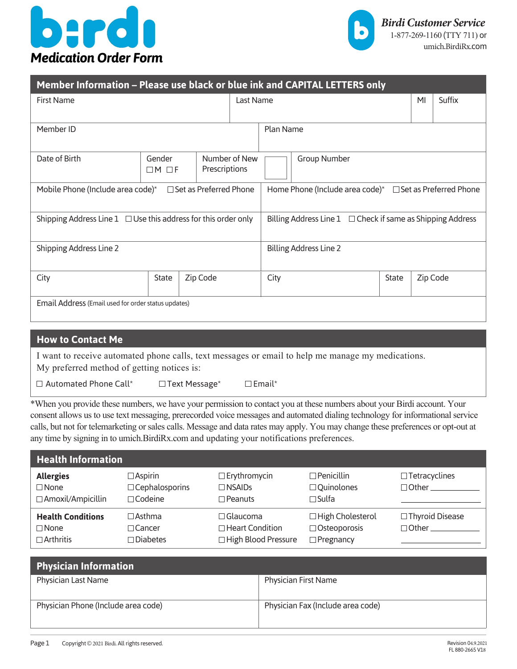



| Member Information - Please use black or blue ink and CAPITAL LETTERS only |                             |          |                                                                    |              |  |              |  |          |
|----------------------------------------------------------------------------|-----------------------------|----------|--------------------------------------------------------------------|--------------|--|--------------|--|----------|
| <b>First Name</b>                                                          |                             |          | Last Name                                                          | MI<br>Suffix |  |              |  |          |
| Member ID                                                                  |                             |          | Plan Name                                                          |              |  |              |  |          |
| Date of Birth                                                              | Gender<br>$\Box M$ $\Box F$ |          | Number of New<br><b>Group Number</b><br>Prescriptions              |              |  |              |  |          |
| □ Set as Preferred Phone<br>Mobile Phone (Include area code)*              |                             |          | Home Phone (Include area code)* $\Box$ Set as Preferred Phone      |              |  |              |  |          |
| Shipping Address Line $1 \square$ Use this address for this order only     |                             |          | Billing Address Line $1 \square$ Check if same as Shipping Address |              |  |              |  |          |
| Shipping Address Line 2                                                    |                             |          | <b>Billing Address Line 2</b>                                      |              |  |              |  |          |
| City                                                                       | State                       | Zip Code |                                                                    | City         |  | <b>State</b> |  | Zip Code |
| Email Address (Email used for order status updates)                        |                             |          |                                                                    |              |  |              |  |          |

| I want to receive automated phone calls, text messages or email to help me manage my medications. | <b>How to Contact Me</b>                   |  |
|---------------------------------------------------------------------------------------------------|--------------------------------------------|--|
|                                                                                                   | My preferred method of getting notices is: |  |
| $\Box$ Automated Phone Call*<br>$\Box$ Email*<br>$\Box$ Text Message*                             |                                            |  |

\*When you provide these numbers, we have your permission to contact you at these numbers about your Birdi account. Your consent allows us to use text messaging, prerecorded voice messages and automated dialing technology for informational service calls, but not for telemarketing orsales calls. Message and data rates may apply. You may change these preferences or opt-out at any time by signing in to umich.BirdiRx.com and updating your notifications preferences.

| <b>Health Information</b>                                   |                                                           |                                                                    |                                                               |                                             |
|-------------------------------------------------------------|-----------------------------------------------------------|--------------------------------------------------------------------|---------------------------------------------------------------|---------------------------------------------|
| <b>Allergies</b><br>$\Box$ None<br>□ Amoxil/Ampicillin      | $\Box$ Aspirin<br>$\Box$ Cephalosporins<br>$\Box$ Codeine | $\Box$ Erythromycin<br>$\Box$ NSAIDs<br>$\Box$ Peanuts             | $\Box$ Penicillin<br>$\Box$ Quinolones<br>$\Box$ Sulfa        | $\Box$ Tetracyclines<br>$\Box$ Other $\Box$ |
| <b>Health Conditions</b><br>$\Box$ None<br>$\Box$ Arthritis | $\Box$ Asthma<br>$\Box$ Cancer<br>$\Box$ Diabetes         | $\Box$ Glaucoma<br>$\Box$ Heart Condition<br>□ High Blood Pressure | □ High Cholesterol<br>$\Box$ Osteoporosis<br>$\Box$ Pregnancy | $\Box$ Thyroid Disease<br>$\Box$ Other      |

| <b>Physician Information</b>        |                                   |
|-------------------------------------|-----------------------------------|
| Physician Last Name                 | <b>Physician First Name</b>       |
| Physician Phone (Include area code) | Physician Fax (Include area code) |